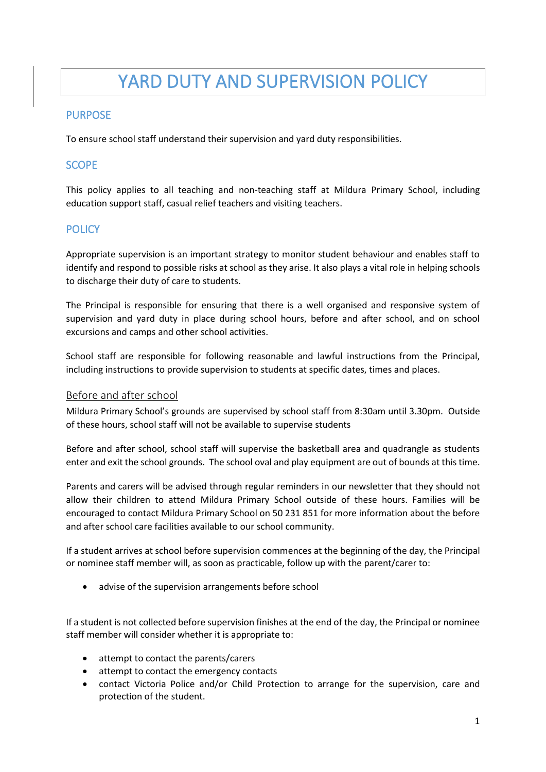# YARD DUTY AND SUPERVISION POLICY

## PURPOSE

To ensure school staff understand their supervision and yard duty responsibilities.

## **SCOPE**

This policy applies to all teaching and non-teaching staff at Mildura Primary School, including education support staff, casual relief teachers and visiting teachers.

## **POLICY**

Appropriate supervision is an important strategy to monitor student behaviour and enables staff to identify and respond to possible risks at school as they arise. It also plays a vital role in helping schools to discharge their duty of care to students.

The Principal is responsible for ensuring that there is a well organised and responsive system of supervision and yard duty in place during school hours, before and after school, and on school excursions and camps and other school activities.

School staff are responsible for following reasonable and lawful instructions from the Principal, including instructions to provide supervision to students at specific dates, times and places.

#### Before and after school

Mildura Primary School's grounds are supervised by school staff from 8:30am until 3.30pm. Outside of these hours, school staff will not be available to supervise students

Before and after school, school staff will supervise the basketball area and quadrangle as students enter and exit the school grounds. The school oval and play equipment are out of bounds at this time.

Parents and carers will be advised through regular reminders in our newsletter that they should not allow their children to attend Mildura Primary School outside of these hours. Families will be encouraged to contact Mildura Primary School on 50 231 851 for more information about the before and after school care facilities available to our school community.

If a student arrives at school before supervision commences at the beginning of the day, the Principal or nominee staff member will, as soon as practicable, follow up with the parent/carer to:

• advise of the supervision arrangements before school

If a student is not collected before supervision finishes at the end of the day, the Principal or nominee staff member will consider whether it is appropriate to:

- attempt to contact the parents/carers
- attempt to contact the emergency contacts
- contact Victoria Police and/or Child Protection to arrange for the supervision, care and protection of the student.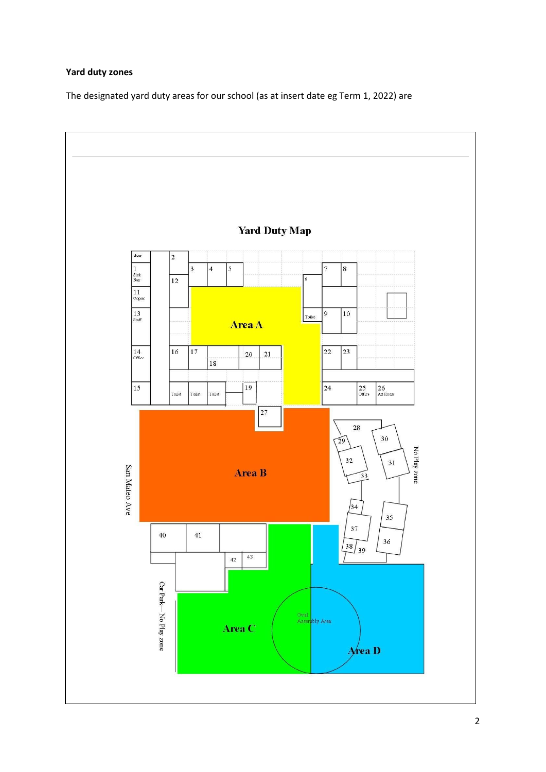## **Yard duty zones**

The designated yard duty areas for our school (as at insert date eg Term 1, 2022) are

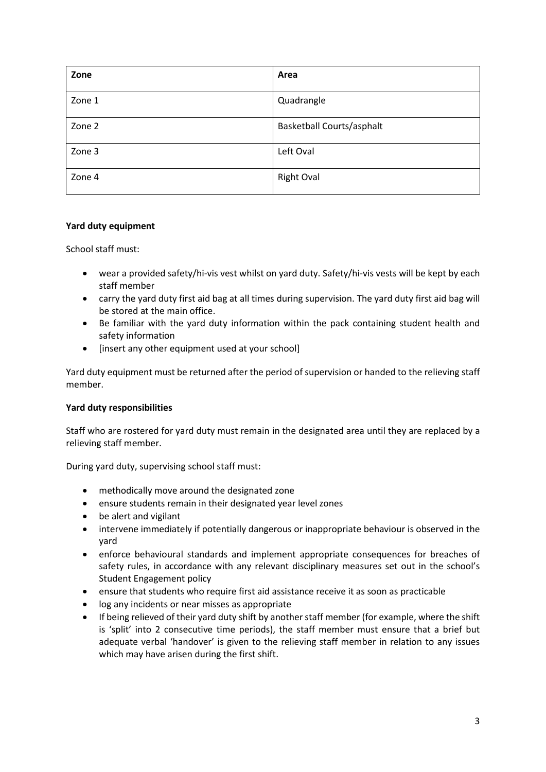| Zone   | Area                             |
|--------|----------------------------------|
| Zone 1 | Quadrangle                       |
| Zone 2 | <b>Basketball Courts/asphalt</b> |
| Zone 3 | Left Oval                        |
| Zone 4 | <b>Right Oval</b>                |

#### **Yard duty equipment**

School staff must:

- wear a provided safety/hi-vis vest whilst on yard duty. Safety/hi-vis vests will be kept by each staff member
- carry the yard duty first aid bag at all times during supervision. The yard duty first aid bag will be stored at the main office.
- Be familiar with the yard duty information within the pack containing student health and safety information
- [insert any other equipment used at your school]

Yard duty equipment must be returned after the period of supervision or handed to the relieving staff member.

#### **Yard duty responsibilities**

Staff who are rostered for yard duty must remain in the designated area until they are replaced by a relieving staff member.

During yard duty, supervising school staff must:

- methodically move around the designated zone
- ensure students remain in their designated year level zones
- be alert and vigilant
- intervene immediately if potentially dangerous or inappropriate behaviour is observed in the yard
- enforce behavioural standards and implement appropriate consequences for breaches of safety rules, in accordance with any relevant disciplinary measures set out in the school's Student Engagement policy
- ensure that students who require first aid assistance receive it as soon as practicable
- log any incidents or near misses as appropriate
- If being relieved of their yard duty shift by another staff member (for example, where the shift is 'split' into 2 consecutive time periods), the staff member must ensure that a brief but adequate verbal 'handover' is given to the relieving staff member in relation to any issues which may have arisen during the first shift.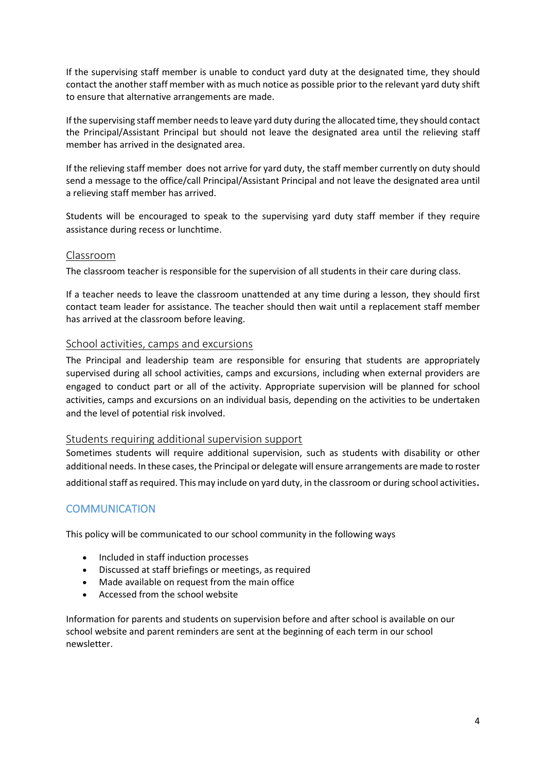If the supervising staff member is unable to conduct yard duty at the designated time, they should contact the another staff member with as much notice as possible prior to the relevant yard duty shift to ensure that alternative arrangements are made.

If the supervising staff member needs to leave yard duty during the allocated time, they should contact the Principal/Assistant Principal but should not leave the designated area until the relieving staff member has arrived in the designated area.

If the relieving staff member does not arrive for yard duty, the staff member currently on duty should send a message to the office/call Principal/Assistant Principal and not leave the designated area until a relieving staff member has arrived.

Students will be encouraged to speak to the supervising yard duty staff member if they require assistance during recess or lunchtime.

#### Classroom

The classroom teacher is responsible for the supervision of all students in their care during class.

If a teacher needs to leave the classroom unattended at any time during a lesson, they should first contact team leader for assistance. The teacher should then wait until a replacement staff member has arrived at the classroom before leaving.

#### School activities, camps and excursions

The Principal and leadership team are responsible for ensuring that students are appropriately supervised during all school activities, camps and excursions, including when external providers are engaged to conduct part or all of the activity. Appropriate supervision will be planned for school activities, camps and excursions on an individual basis, depending on the activities to be undertaken and the level of potential risk involved.

#### Students requiring additional supervision support

Sometimes students will require additional supervision, such as students with disability or other additional needs. In these cases, the Principal or delegate will ensure arrangements are made to roster additional staff as required. This may include on yard duty, in the classroom or during school activities.

## **COMMUNICATION**

This policy will be communicated to our school community in the following ways

- Included in staff induction processes
- Discussed at staff briefings or meetings, as required
- Made available on request from the main office
- Accessed from the school website

Information for parents and students on supervision before and after school is available on our school website and parent reminders are sent at the beginning of each term in our school newsletter.